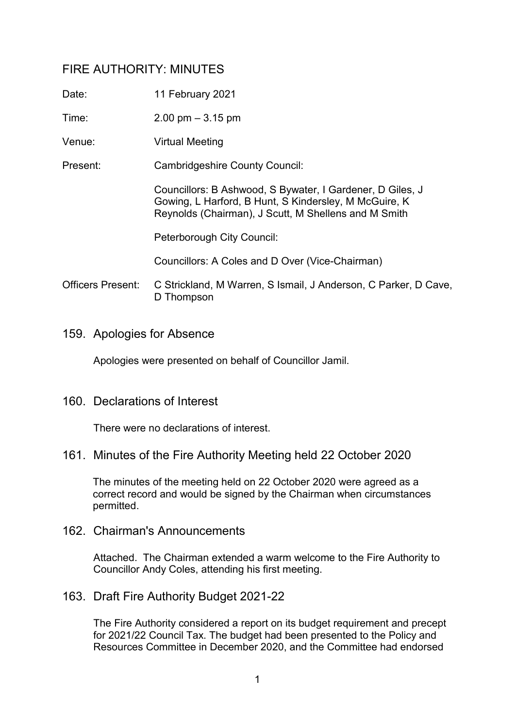# FIRE AUTHORITY: MINUTES

| Date:                    | 11 February 2021                                                                                                                                                           |
|--------------------------|----------------------------------------------------------------------------------------------------------------------------------------------------------------------------|
| Time:                    | $2.00 \text{ pm} - 3.15 \text{ pm}$                                                                                                                                        |
| Venue:                   | <b>Virtual Meeting</b>                                                                                                                                                     |
| Present:                 | <b>Cambridgeshire County Council:</b>                                                                                                                                      |
|                          | Councillors: B Ashwood, S Bywater, I Gardener, D Giles, J<br>Gowing, L Harford, B Hunt, S Kindersley, M McGuire, K<br>Reynolds (Chairman), J Scutt, M Shellens and M Smith |
|                          | Peterborough City Council:                                                                                                                                                 |
|                          | Councillors: A Coles and D Over (Vice-Chairman)                                                                                                                            |
| <b>Officers Present:</b> | C Strickland, M Warren, S Ismail, J Anderson, C Parker, D Cave,<br>D Thompson                                                                                              |

159. Apologies for Absence

Apologies were presented on behalf of Councillor Jamil.

## 160. Declarations of Interest

There were no declarations of interest.

## 161. Minutes of the Fire Authority Meeting held 22 October 2020

The minutes of the meeting held on 22 October 2020 were agreed as a correct record and would be signed by the Chairman when circumstances permitted.

162. Chairman's Announcements

Attached. The Chairman extended a warm welcome to the Fire Authority to Councillor Andy Coles, attending his first meeting.

163. Draft Fire Authority Budget 2021-22

The Fire Authority considered a report on its budget requirement and precept for 2021/22 Council Tax. The budget had been presented to the Policy and Resources Committee in December 2020, and the Committee had endorsed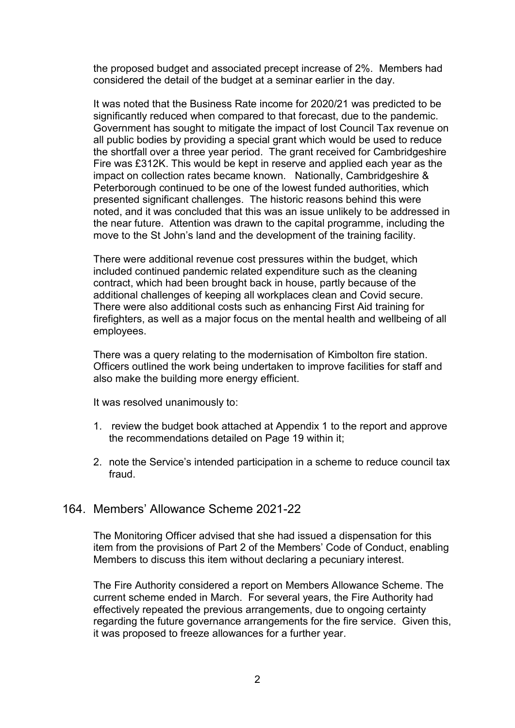the proposed budget and associated precept increase of 2%. Members had considered the detail of the budget at a seminar earlier in the day.

It was noted that the Business Rate income for 2020/21 was predicted to be significantly reduced when compared to that forecast, due to the pandemic. Government has sought to mitigate the impact of lost Council Tax revenue on all public bodies by providing a special grant which would be used to reduce the shortfall over a three year period. The grant received for Cambridgeshire Fire was £312K. This would be kept in reserve and applied each year as the impact on collection rates became known. Nationally, Cambridgeshire & Peterborough continued to be one of the lowest funded authorities, which presented significant challenges. The historic reasons behind this were noted, and it was concluded that this was an issue unlikely to be addressed in the near future. Attention was drawn to the capital programme, including the move to the St John's land and the development of the training facility.

There were additional revenue cost pressures within the budget, which included continued pandemic related expenditure such as the cleaning contract, which had been brought back in house, partly because of the additional challenges of keeping all workplaces clean and Covid secure. There were also additional costs such as enhancing First Aid training for firefighters, as well as a major focus on the mental health and wellbeing of all employees.

There was a query relating to the modernisation of Kimbolton fire station. Officers outlined the work being undertaken to improve facilities for staff and also make the building more energy efficient.

It was resolved unanimously to:

- 1. review the budget book attached at Appendix 1 to the report and approve the recommendations detailed on Page 19 within it;
- 2. note the Service's intended participation in a scheme to reduce council tax fraud.

## 164. Members' Allowance Scheme 2021-22

The Monitoring Officer advised that she had issued a dispensation for this item from the provisions of Part 2 of the Members' Code of Conduct, enabling Members to discuss this item without declaring a pecuniary interest.

The Fire Authority considered a report on Members Allowance Scheme. The current scheme ended in March. For several years, the Fire Authority had effectively repeated the previous arrangements, due to ongoing certainty regarding the future governance arrangements for the fire service. Given this, it was proposed to freeze allowances for a further year.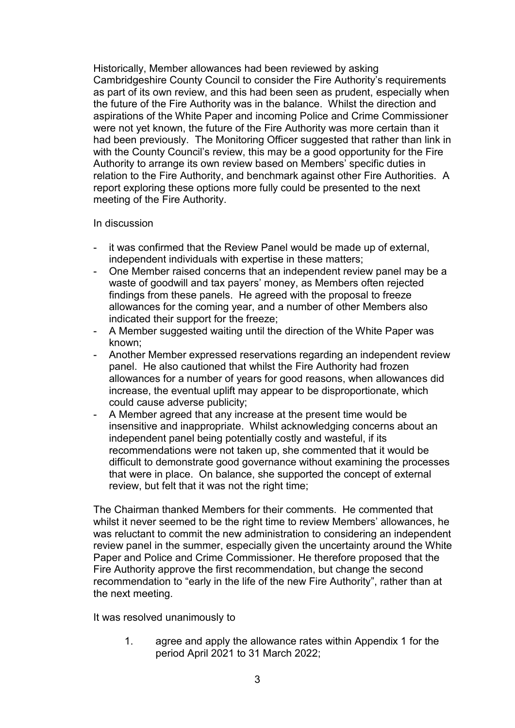Historically, Member allowances had been reviewed by asking Cambridgeshire County Council to consider the Fire Authority's requirements as part of its own review, and this had been seen as prudent, especially when the future of the Fire Authority was in the balance. Whilst the direction and aspirations of the White Paper and incoming Police and Crime Commissioner were not yet known, the future of the Fire Authority was more certain than it had been previously. The Monitoring Officer suggested that rather than link in with the County Council's review, this may be a good opportunity for the Fire Authority to arrange its own review based on Members' specific duties in relation to the Fire Authority, and benchmark against other Fire Authorities. A report exploring these options more fully could be presented to the next meeting of the Fire Authority.

#### In discussion

- it was confirmed that the Review Panel would be made up of external, independent individuals with expertise in these matters;
- One Member raised concerns that an independent review panel may be a waste of goodwill and tax payers' money, as Members often rejected findings from these panels. He agreed with the proposal to freeze allowances for the coming year, and a number of other Members also indicated their support for the freeze;
- A Member suggested waiting until the direction of the White Paper was known;
- Another Member expressed reservations regarding an independent review panel. He also cautioned that whilst the Fire Authority had frozen allowances for a number of years for good reasons, when allowances did increase, the eventual uplift may appear to be disproportionate, which could cause adverse publicity;
- A Member agreed that any increase at the present time would be insensitive and inappropriate. Whilst acknowledging concerns about an independent panel being potentially costly and wasteful, if its recommendations were not taken up, she commented that it would be difficult to demonstrate good governance without examining the processes that were in place. On balance, she supported the concept of external review, but felt that it was not the right time;

The Chairman thanked Members for their comments. He commented that whilst it never seemed to be the right time to review Members' allowances, he was reluctant to commit the new administration to considering an independent review panel in the summer, especially given the uncertainty around the White Paper and Police and Crime Commissioner. He therefore proposed that the Fire Authority approve the first recommendation, but change the second recommendation to "early in the life of the new Fire Authority", rather than at the next meeting.

It was resolved unanimously to

1. agree and apply the allowance rates within Appendix 1 for the period April 2021 to 31 March 2022;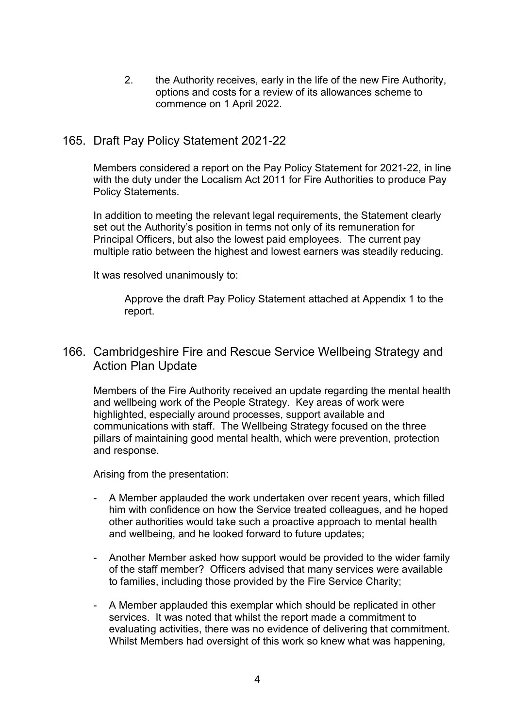2. the Authority receives, early in the life of the new Fire Authority, options and costs for a review of its allowances scheme to commence on 1 April 2022.

## 165. Draft Pay Policy Statement 2021-22

Members considered a report on the Pay Policy Statement for 2021-22, in line with the duty under the Localism Act 2011 for Fire Authorities to produce Pay Policy Statements.

In addition to meeting the relevant legal requirements, the Statement clearly set out the Authority's position in terms not only of its remuneration for Principal Officers, but also the lowest paid employees. The current pay multiple ratio between the highest and lowest earners was steadily reducing.

It was resolved unanimously to:

Approve the draft Pay Policy Statement attached at Appendix 1 to the report.

## 166. Cambridgeshire Fire and Rescue Service Wellbeing Strategy and Action Plan Update

Members of the Fire Authority received an update regarding the mental health and wellbeing work of the People Strategy. Key areas of work were highlighted, especially around processes, support available and communications with staff. The Wellbeing Strategy focused on the three pillars of maintaining good mental health, which were prevention, protection and response.

Arising from the presentation:

- A Member applauded the work undertaken over recent years, which filled him with confidence on how the Service treated colleagues, and he hoped other authorities would take such a proactive approach to mental health and wellbeing, and he looked forward to future updates;
- Another Member asked how support would be provided to the wider family of the staff member? Officers advised that many services were available to families, including those provided by the Fire Service Charity;
- A Member applauded this exemplar which should be replicated in other services. It was noted that whilst the report made a commitment to evaluating activities, there was no evidence of delivering that commitment. Whilst Members had oversight of this work so knew what was happening,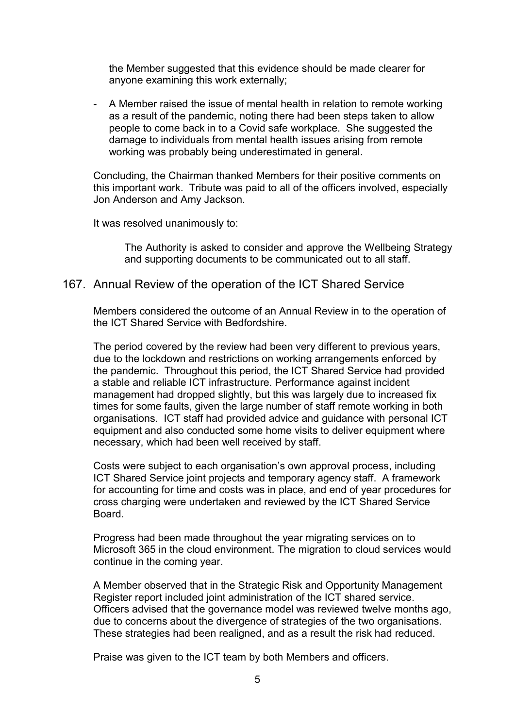the Member suggested that this evidence should be made clearer for anyone examining this work externally;

- A Member raised the issue of mental health in relation to remote working as a result of the pandemic, noting there had been steps taken to allow people to come back in to a Covid safe workplace. She suggested the damage to individuals from mental health issues arising from remote working was probably being underestimated in general.

Concluding, the Chairman thanked Members for their positive comments on this important work. Tribute was paid to all of the officers involved, especially Jon Anderson and Amy Jackson.

It was resolved unanimously to:

The Authority is asked to consider and approve the Wellbeing Strategy and supporting documents to be communicated out to all staff.

## 167. Annual Review of the operation of the ICT Shared Service

Members considered the outcome of an Annual Review in to the operation of the ICT Shared Service with Bedfordshire.

The period covered by the review had been very different to previous years, due to the lockdown and restrictions on working arrangements enforced by the pandemic. Throughout this period, the ICT Shared Service had provided a stable and reliable ICT infrastructure. Performance against incident management had dropped slightly, but this was largely due to increased fix times for some faults, given the large number of staff remote working in both organisations. ICT staff had provided advice and guidance with personal ICT equipment and also conducted some home visits to deliver equipment where necessary, which had been well received by staff.

Costs were subject to each organisation's own approval process, including ICT Shared Service joint projects and temporary agency staff. A framework for accounting for time and costs was in place, and end of year procedures for cross charging were undertaken and reviewed by the ICT Shared Service Board.

Progress had been made throughout the year migrating services on to Microsoft 365 in the cloud environment. The migration to cloud services would continue in the coming year.

A Member observed that in the Strategic Risk and Opportunity Management Register report included joint administration of the ICT shared service. Officers advised that the governance model was reviewed twelve months ago, due to concerns about the divergence of strategies of the two organisations. These strategies had been realigned, and as a result the risk had reduced.

Praise was given to the ICT team by both Members and officers.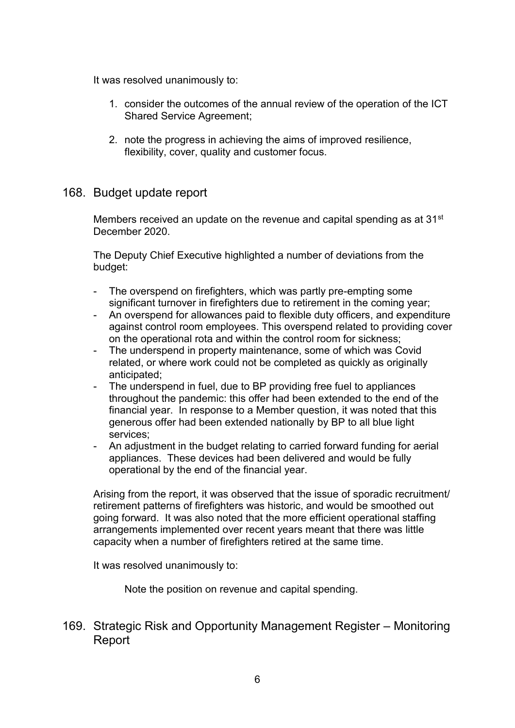It was resolved unanimously to:

- 1. consider the outcomes of the annual review of the operation of the ICT Shared Service Agreement;
- 2. note the progress in achieving the aims of improved resilience, flexibility, cover, quality and customer focus.

## 168. Budget update report

Members received an update on the revenue and capital spending as at 31<sup>st</sup> December 2020.

The Deputy Chief Executive highlighted a number of deviations from the budget:

- The overspend on firefighters, which was partly pre-empting some significant turnover in firefighters due to retirement in the coming year;
- An overspend for allowances paid to flexible duty officers, and expenditure against control room employees. This overspend related to providing cover on the operational rota and within the control room for sickness;
- The underspend in property maintenance, some of which was Covid related, or where work could not be completed as quickly as originally anticipated;
- The underspend in fuel, due to BP providing free fuel to appliances throughout the pandemic: this offer had been extended to the end of the financial year. In response to a Member question, it was noted that this generous offer had been extended nationally by BP to all blue light services;
- An adjustment in the budget relating to carried forward funding for aerial appliances. These devices had been delivered and would be fully operational by the end of the financial year.

Arising from the report, it was observed that the issue of sporadic recruitment/ retirement patterns of firefighters was historic, and would be smoothed out going forward. It was also noted that the more efficient operational staffing arrangements implemented over recent years meant that there was little capacity when a number of firefighters retired at the same time.

It was resolved unanimously to:

Note the position on revenue and capital spending.

169. Strategic Risk and Opportunity Management Register – Monitoring Report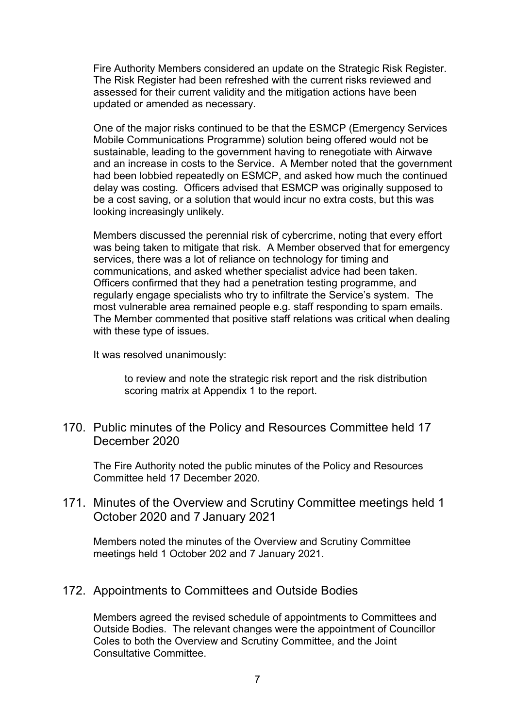Fire Authority Members considered an update on the Strategic Risk Register. The Risk Register had been refreshed with the current risks reviewed and assessed for their current validity and the mitigation actions have been updated or amended as necessary.

One of the major risks continued to be that the ESMCP (Emergency Services Mobile Communications Programme) solution being offered would not be sustainable, leading to the government having to renegotiate with Airwave and an increase in costs to the Service. A Member noted that the government had been lobbied repeatedly on ESMCP, and asked how much the continued delay was costing. Officers advised that ESMCP was originally supposed to be a cost saving, or a solution that would incur no extra costs, but this was looking increasingly unlikely.

Members discussed the perennial risk of cybercrime, noting that every effort was being taken to mitigate that risk. A Member observed that for emergency services, there was a lot of reliance on technology for timing and communications, and asked whether specialist advice had been taken. Officers confirmed that they had a penetration testing programme, and regularly engage specialists who try to infiltrate the Service's system. The most vulnerable area remained people e.g. staff responding to spam emails. The Member commented that positive staff relations was critical when dealing with these type of issues.

It was resolved unanimously:

to review and note the strategic risk report and the risk distribution scoring matrix at Appendix 1 to the report.

170. Public minutes of the Policy and Resources Committee held 17 December 2020

The Fire Authority noted the public minutes of the Policy and Resources Committee held 17 December 2020.

171. Minutes of the Overview and Scrutiny Committee meetings held 1 October 2020 and 7 January 2021

Members noted the minutes of the Overview and Scrutiny Committee meetings held 1 October 202 and 7 January 2021.

## 172. Appointments to Committees and Outside Bodies

Members agreed the revised schedule of appointments to Committees and Outside Bodies. The relevant changes were the appointment of Councillor Coles to both the Overview and Scrutiny Committee, and the Joint Consultative Committee.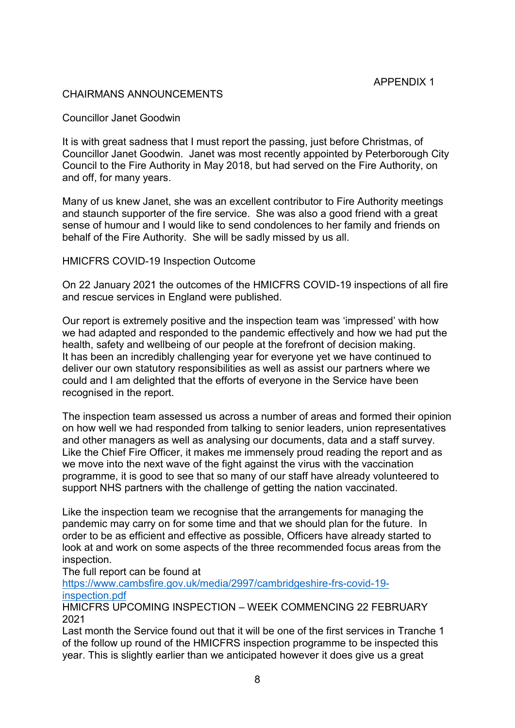### CHAIRMANS ANNOUNCEMENTS

Councillor Janet Goodwin

It is with great sadness that I must report the passing, just before Christmas, of Councillor Janet Goodwin. Janet was most recently appointed by Peterborough City Council to the Fire Authority in May 2018, but had served on the Fire Authority, on and off, for many years.

Many of us knew Janet, she was an excellent contributor to Fire Authority meetings and staunch supporter of the fire service. She was also a good friend with a great sense of humour and I would like to send condolences to her family and friends on behalf of the Fire Authority. She will be sadly missed by us all.

#### HMICFRS COVID-19 Inspection Outcome

On 22 January 2021 the outcomes of the HMICFRS COVID-19 inspections of all fire and rescue services in England were published.

Our report is extremely positive and the inspection team was 'impressed' with how we had adapted and responded to the pandemic effectively and how we had put the health, safety and wellbeing of our people at the forefront of decision making. It has been an incredibly challenging year for everyone yet we have continued to deliver our own statutory responsibilities as well as assist our partners where we could and I am delighted that the efforts of everyone in the Service have been recognised in the report.

The inspection team assessed us across a number of areas and formed their opinion on how well we had responded from talking to senior leaders, union representatives and other managers as well as analysing our documents, data and a staff survey. Like the Chief Fire Officer, it makes me immensely proud reading the report and as we move into the next wave of the fight against the virus with the vaccination programme, it is good to see that so many of our staff have already volunteered to support NHS partners with the challenge of getting the nation vaccinated.

Like the inspection team we recognise that the arrangements for managing the pandemic may carry on for some time and that we should plan for the future. In order to be as efficient and effective as possible, Officers have already started to look at and work on some aspects of the three recommended focus areas from the inspection.

#### The full report can be found at

[https://www.cambsfire.gov.uk/media/2997/cambridgeshire-frs-covid-19](https://www.cambsfire.gov.uk/media/2997/cambridgeshire-frs-covid-19-inspection.pdf) inspection pdf

HMICFRS UPCOMING INSPECTION – WEEK COMMENCING 22 FEBRUARY 2021

Last month the Service found out that it will be one of the first services in Tranche 1 of the follow up round of the HMICFRS inspection programme to be inspected this year. This is slightly earlier than we anticipated however it does give us a great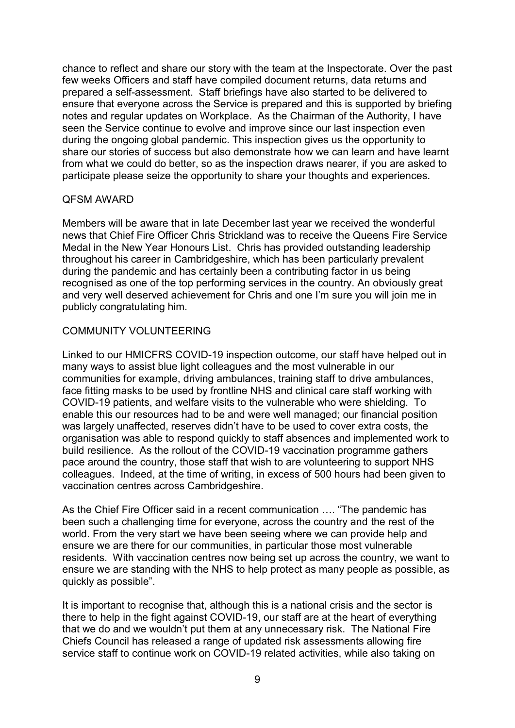chance to reflect and share our story with the team at the Inspectorate. Over the past few weeks Officers and staff have compiled document returns, data returns and prepared a self-assessment. Staff briefings have also started to be delivered to ensure that everyone across the Service is prepared and this is supported by briefing notes and regular updates on Workplace. As the Chairman of the Authority, I have seen the Service continue to evolve and improve since our last inspection even during the ongoing global pandemic. This inspection gives us the opportunity to share our stories of success but also demonstrate how we can learn and have learnt from what we could do better, so as the inspection draws nearer, if you are asked to participate please seize the opportunity to share your thoughts and experiences.

### QFSM AWARD

Members will be aware that in late December last year we received the wonderful news that Chief Fire Officer Chris Strickland was to receive the Queens Fire Service Medal in the New Year Honours List. Chris has provided outstanding leadership throughout his career in Cambridgeshire, which has been particularly prevalent during the pandemic and has certainly been a contributing factor in us being recognised as one of the top performing services in the country. An obviously great and very well deserved achievement for Chris and one I'm sure you will join me in publicly congratulating him.

## COMMUNITY VOLUNTEERING

Linked to our HMICFRS COVID-19 inspection outcome, our staff have helped out in many ways to assist blue light colleagues and the most vulnerable in our communities for example, driving ambulances, training staff to drive ambulances, face fitting masks to be used by frontline NHS and clinical care staff working with COVID-19 patients, and welfare visits to the vulnerable who were shielding. To enable this our resources had to be and were well managed; our financial position was largely unaffected, reserves didn't have to be used to cover extra costs, the organisation was able to respond quickly to staff absences and implemented work to build resilience. As the rollout of the COVID-19 vaccination programme gathers pace around the country, those staff that wish to are volunteering to support NHS colleagues. Indeed, at the time of writing, in excess of 500 hours had been given to vaccination centres across Cambridgeshire.

As the Chief Fire Officer said in a recent communication …. "The pandemic has been such a challenging time for everyone, across the country and the rest of the world. From the very start we have been seeing where we can provide help and ensure we are there for our communities, in particular those most vulnerable residents. With vaccination centres now being set up across the country, we want to ensure we are standing with the NHS to help protect as many people as possible, as quickly as possible".

It is important to recognise that, although this is a national crisis and the sector is there to help in the fight against COVID-19, our staff are at the heart of everything that we do and we wouldn't put them at any unnecessary risk. The National Fire Chiefs Council has released a range of updated risk assessments allowing fire service staff to continue work on COVID-19 related activities, while also taking on